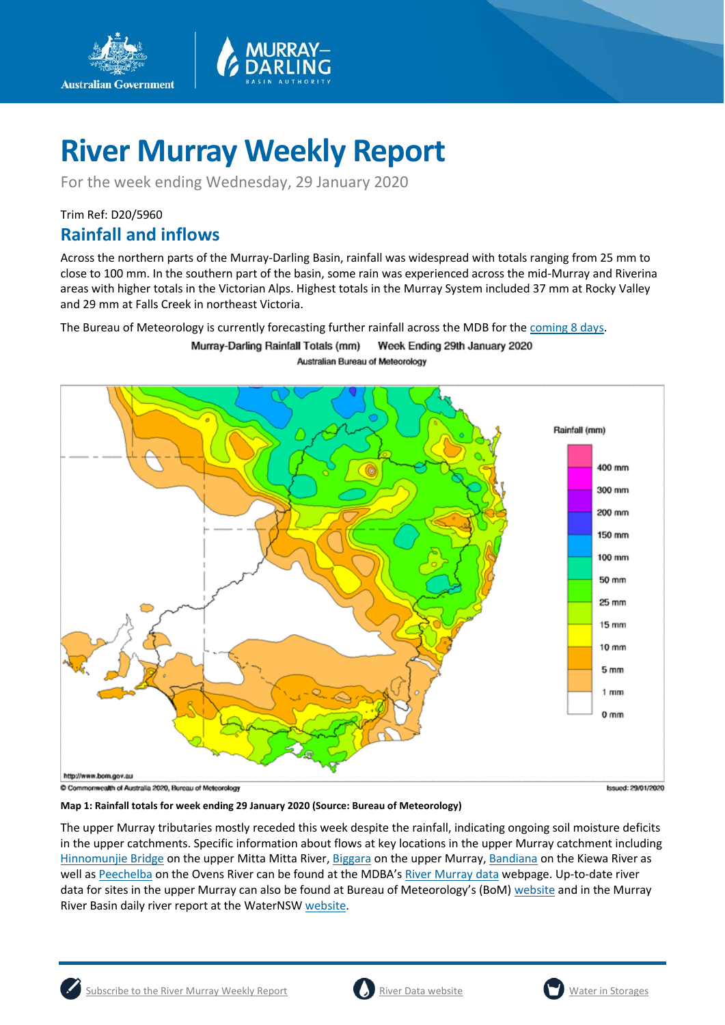

For the week ending Wednesday, 29 January 2020

Trim Ref: D20/5960

**Australian Government** 

### **Rainfall and inflows**

Across the northern parts of the Murray-Darling Basin, rainfall was widespread with totals ranging from 25 mm to close to 100 mm. In the southern part of the basin, some rain was experienced across the mid-Murray and Riverina areas with higher totals in the Victorian Alps. Highest totals in the Murray System included 37 mm at Rocky Valley and 29 mm at Falls Creek in northeast Victoria.

The Bureau of Meteorology is currently forecasting further rainfall across the MDB for the [coming 8 days.](http://www.bom.gov.au/jsp/watl/rainfall/pme.jsp)

Murray-Darling Rainfall Totals (mm) Week Ending 29th January 2020 Australian Bureau of Meteorology



**Map 1: Rainfall totals for week ending 29 January 2020 (Source: Bureau of Meteorology)**

The upper Murray tributaries mostly receded this week despite the rainfall, indicating ongoing soil moisture deficits in the upper catchments. Specific information about flows at key locations in the upper Murray catchment including [Hinnomunjie Bridge](https://riverdata.mdba.gov.au/hinnomunjie) on the upper Mitta Mitta River, [Biggara](https://riverdata.mdba.gov.au/biggara) on the upper Murray, [Bandiana](https://riverdata.mdba.gov.au/bandiana) on the Kiewa River as well as [Peechelba](https://riverdata.mdba.gov.au/peechelba) on the Ovens River can be found at the MDBA'[s River Murray data](https://riverdata.mdba.gov.au/system-view) webpage. Up-to-date river data for sites in the upper Murray can also be found at Bureau of Meteorology's (BoM[\) website](http://www.bom.gov.au/cgi-bin/wrap_fwo.pl?IDV60151.html) and in the Murray River Basin daily river report at the WaterNS[W website.](https://realtimedata.waternsw.com.au/water.stm)

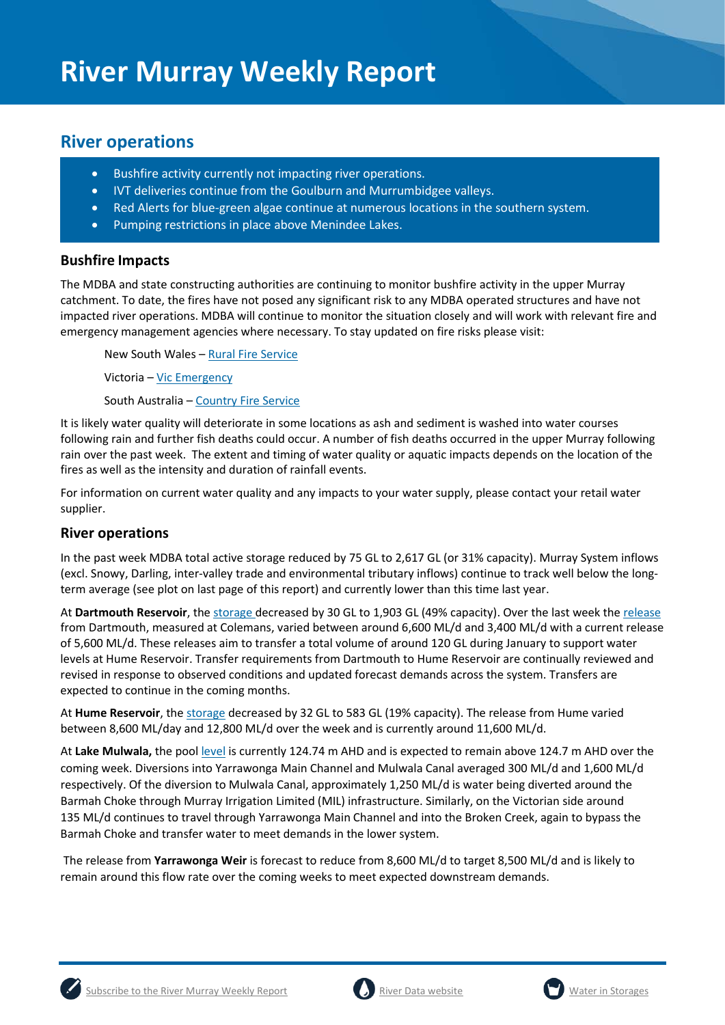## **River operations**

- Bushfire activity currently not impacting river operations.
- IVT deliveries continue from the Goulburn and Murrumbidgee valleys.
- Red Alerts for blue-green algae continue at numerous locations in the southern system.
- Pumping restrictions in place above Menindee Lakes.

#### **Bushfire Impacts**

The MDBA and state constructing authorities are continuing to monitor bushfire activity in the upper Murray catchment. To date, the fires have not posed any significant risk to any MDBA operated structures and have not impacted river operations. MDBA will continue to monitor the situation closely and will work with relevant fire and emergency management agencies where necessary. To stay updated on fire risks please visit:

New South Wales – [Rural Fire Service](https://www.rfs.nsw.gov.au/)

Victoria – [Vic Emergency](https://www.emergency.vic.gov.au/respond/)

South Australia – [Country Fire Service](https://www.cfs.sa.gov.au/site/warnings_and_incidents.jsp)

It is likely water quality will deteriorate in some locations as ash and sediment is washed into water courses following rain and further fish deaths could occur. A number of fish deaths occurred in the upper Murray following rain over the past week. The extent and timing of water quality or aquatic impacts depends on the location of the fires as well as the intensity and duration of rainfall events.

For information on current water quality and any impacts to your water supply, please contact your retail water supplier.

#### **River operations**

In the past week MDBA total active storage reduced by 75 GL to 2,617 GL (or 31% capacity). Murray System inflows (excl. Snowy, Darling, inter-valley trade and environmental tributary inflows) continue to track well below the longterm average (see plot on last page of this report) and currently lower than this time last year.

At **Dartmouth Reservoir**, the [storage](https://riverdata.mdba.gov.au/dartmouth-dam) decreased by 30 GL to 1,903 GL (49% capacity). Over the last week the [release](https://riverdata.mdba.gov.au/colemans) from Dartmouth, measured at Colemans, varied between around 6,600 ML/d and 3,400 ML/d with a current release of 5,600 ML/d. These releases aim to transfer a total volume of around 120 GL during January to support water levels at Hume Reservoir. Transfer requirements from Dartmouth to Hume Reservoir are continually reviewed and revised in response to observed conditions and updated forecast demands across the system. Transfers are expected to continue in the coming months.

At **Hume Reservoir**, the [storage](https://riverdata.mdba.gov.au/hume-dam) decreased by 32 GL to 583 GL (19% capacity). The release from Hume varied between 8,600 ML/day and 12,800 ML/d over the week and is currently around 11,600 ML/d.

At Lake Mulwala, the pool [level](https://riverdata.mdba.gov.au/yarrawonga-weir-upstream) is currently 124.74 m AHD and is expected to remain above 124.7 m AHD over the coming week. Diversions into Yarrawonga Main Channel and Mulwala Canal averaged 300 ML/d and 1,600 ML/d respectively. Of the diversion to Mulwala Canal, approximately 1,250 ML/d is water being diverted around the Barmah Choke through Murray Irrigation Limited (MIL) infrastructure. Similarly, on the Victorian side around 135 ML/d continues to travel through Yarrawonga Main Channel and into the Broken Creek, again to bypass the Barmah Choke and transfer water to meet demands in the lower system.

The release from **Yarrawonga Weir** is forecast to reduce from 8,600 ML/d to target 8,500 ML/d and is likely to remain around this flow rate over the coming weeks to meet expected downstream demands.



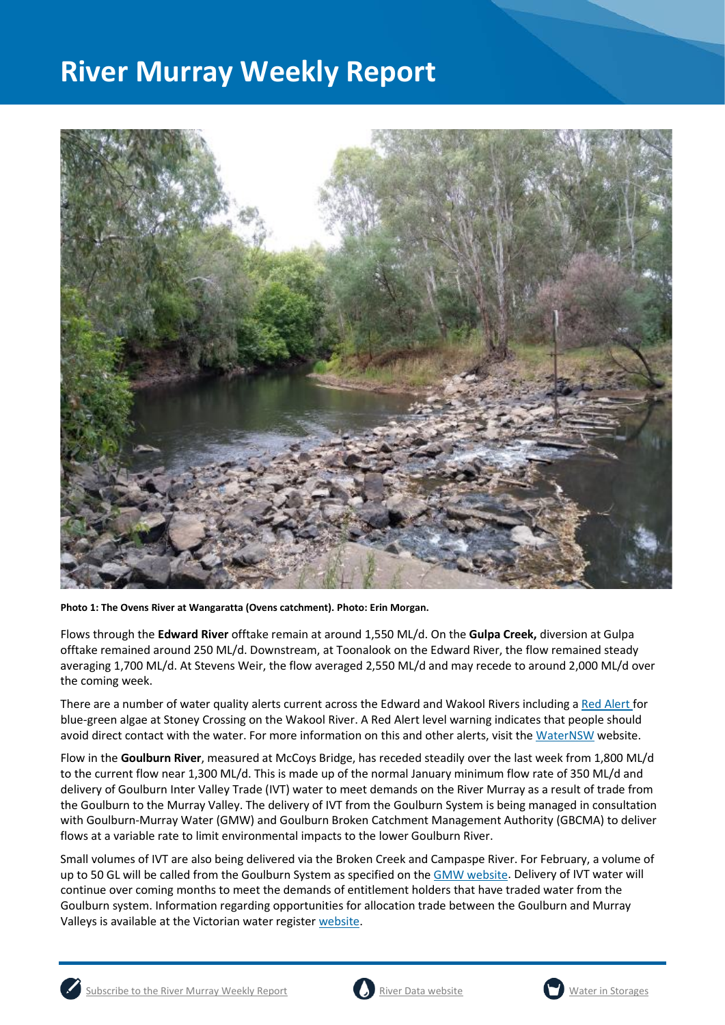

**Photo 1: The Ovens River at Wangaratta (Ovens catchment). Photo: Erin Morgan.**

Flows through the **Edward River** offtake remain at around 1,550 ML/d. On the **Gulpa Creek,** diversion at Gulpa offtake remained around 250 ML/d. Downstream, at Toonalook on the Edward River, the flow remained steady averaging 1,700 ML/d. At Stevens Weir, the flow averaged 2,550 ML/d and may recede to around 2,000 ML/d over the coming week.

There are a number of water quality alerts current across the Edward and Wakool Rivers including [a Red Alert](https://www.waternsw.com.au/about/newsroom/2019/blue-green-algae-red-alert-for-murrumbidgee-river-at-redbank-weir2) for blue-green algae at Stoney Crossing on the Wakool River. A Red Alert level warning indicates that people should avoid direct contact with the water. For more information on this and other alerts, visit the [WaterNSW](https://www.waternsw.com.au/water-quality/algae) website.

Flow in the **Goulburn River**, measured at McCoys Bridge, has receded steadily over the last week from 1,800 ML/d to the current flow near 1,300 ML/d. This is made up of the normal January minimum flow rate of 350 ML/d and delivery of Goulburn Inter Valley Trade (IVT) water to meet demands on the River Murray as a result of trade from the Goulburn to the Murray Valley. The delivery of IVT from the Goulburn System is being managed in consultation with Goulburn-Murray Water (GMW) and Goulburn Broken Catchment Management Authority (GBCMA) to deliver flows at a variable rate to limit environmental impacts to the lower Goulburn River.

Small volumes of IVT are also being delivered via the Broken Creek and Campaspe River. For February, a volume of up to 50 GL will be called from the Goulburn System as specified on the [GMW website.](https://www.g-mwater.com.au/water-resources/managing-water-storages) Delivery of IVT water will continue over coming months to meet the demands of entitlement holders that have traded water from the Goulburn system. Information regarding opportunities for allocation trade between the Goulburn and Murray Valleys is available at the Victorian water register [website.](http://waterregister.vic.gov.au/water-trading/allocation-trading#AllocationTradeOpportunities)





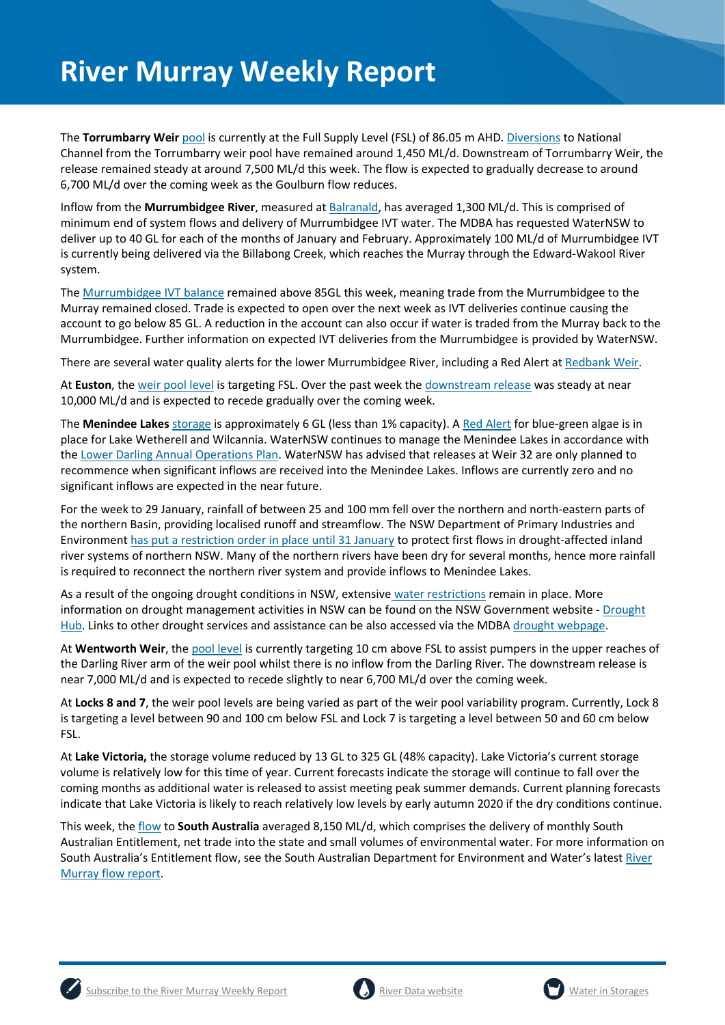The **Torrumbarry Weir** [pool](https://riverdata.mdba.gov.au/torrumbarry-weir-lock-26) is currently at the Full Supply Level (FSL) of 86.05 m AHD. [Diversions](https://riverdata.mdba.gov.au/national-channel-ds-torrumbarry-headworks) to National Channel from the Torrumbarry weir pool have remained around 1,450 ML/d. Downstream of Torrumbarry Weir, the release remained steady at around 7,500 ML/d this week. The flow is expected to gradually decrease to around 6,700 ML/d over the coming week as the Goulburn flow reduces.

Inflow from the **Murrumbidgee River**, measured a[t Balranald,](https://riverdata.mdba.gov.au/balranald-weir-downstream) has averaged 1,300 ML/d. This is comprised of minimum end of system flows and delivery of Murrumbidgee IVT water. The MDBA has requested WaterNSW to deliver up to 40 GL for each of the months of January and February. Approximately 100 ML/d of Murrumbidgee IVT is currently being delivered via the Billabong Creek, which reaches the Murray through the Edward-Wakool River system.

The [Murrumbidgee IVT balance](https://www.waternsw.com.au/customer-service/ordering-trading-and-pricing/trading/murrumbidgee) remained above 85GL this week, meaning trade from the Murrumbidgee to the Murray remained closed. Trade is expected to open over the next week as IVT deliveries continue causing the account to go below 85 GL. A reduction in the account can also occur if water is traded from the Murray back to the Murrumbidgee. Further information on expected IVT deliveries from the Murrumbidgee is provided by WaterNSW.

There are several water quality alerts for the lower Murrumbidgee River, including a Red Alert a[t Redbank Weir.](https://www.waternsw.com.au/water-quality/algae)

At **Euston**, the [weir pool level](https://riverdata.mdba.gov.au/euston-weir-upstream) is targeting FSL. Over the past week the [downstream release](https://riverdata.mdba.gov.au/euston-weir-downstream) was steady at near 10,000 ML/d and is expected to recede gradually over the coming week.

The **Menindee Lakes** storage is approximately 6 GL (less than 1% capacity). A [Red Alert](https://www.waternsw.com.au/about/newsroom/2019/blue-green-algae-red-alert-for-lake-wetherell-site-3,-upstream-from-menindee) for blue-green algae is in place for Lake Wetherell and Wilcannia. WaterNSW continues to manage the Menindee Lakes in accordance with the [Lower Darling Annual Operations Plan.](https://www.waternsw.com.au/supply/regional-nsw/operations) WaterNSW has advised that releases at Weir 32 are only planned to recommence when significant inflows are received into the Menindee Lakes. Inflows are currently zero and no significant inflows are expected in the near future.

For the week to 29 January, rainfall of between 25 and 100 mm fell over the northern and north-eastern parts of the northern Basin, providing localised runoff and streamflow. The NSW Department of Primary Industries and Environment has [put a restriction order in place until 31 January](https://www.industry.nsw.gov.au/water/allocations-availability/temporary-water-restrictions/northern-nsw-mdb) to protect first flows in drought-affected inland river systems of northern NSW. Many of the northern rivers have been dry for several months, hence more rainfall is required to reconnect the northern river system and provide inflows to Menindee Lakes.

As a result of the ongoing drought conditions in NSW, extensive [water restrictions](https://www.waternsw.com.au/about/newsroom/2018/waternsw-confirms-restrictions-for-lower-darling-customers) remain in place. More information on drought management activities in NSW can be found on the NSW Government website - [Drought](https://www.dpi.nsw.gov.au/climate-and-emergencies/droughthub)  [Hub.](https://www.dpi.nsw.gov.au/climate-and-emergencies/droughthub) Links to other drought services and assistance can be also accessed via the MDB[A drought webpage.](https://www.mdba.gov.au/managing-water/drought-murray-darling-basin)

At **Wentworth Weir**, th[e pool level](https://riverdata.mdba.gov.au/wentworth-weir-lock-10) is currently targeting 10 cm above FSL to assist pumpers in the upper reaches of the Darling River arm of the weir pool whilst there is no inflow from the Darling River. The downstream release is near 7,000 ML/d and is expected to recede slightly to near 6,700 ML/d over the coming week.

At **Locks 8 and 7**, the weir pool levels are being varied as part of the weir pool variability program. Currently, Lock 8 is targeting a level between 90 and 100 cm below FSL and Lock 7 is targeting a level between 50 and 60 cm below FSL.

At **Lake Victoria,** the storage volume reduced by 13 GL to 325 GL (48% capacity). Lake Victoria's current storage volume is relatively low for this time of year. Current forecasts indicate the storage will continue to fall over the coming months as additional water is released to assist meeting peak summer demands. Current planning forecasts indicate that Lake Victoria is likely to reach relatively low levels by early autumn 2020 if the dry conditions continue.

This week, th[e flow](https://riverdata.mdba.gov.au/flow-south-australia-calculated) to **South Australia** averaged 8,150 ML/d, which comprises the delivery of monthly South Australian Entitlement, net trade into the state and small volumes of environmental water. For more information on South Australia's Entitlement flow, see the South Australian Department for Environment and Water's latest [River](https://www.waterconnect.sa.gov.au/River-Murray/SitePages/2019%20Flow%20Reports.aspx)  [Murray flow report.](https://www.waterconnect.sa.gov.au/River-Murray/SitePages/2019%20Flow%20Reports.aspx)



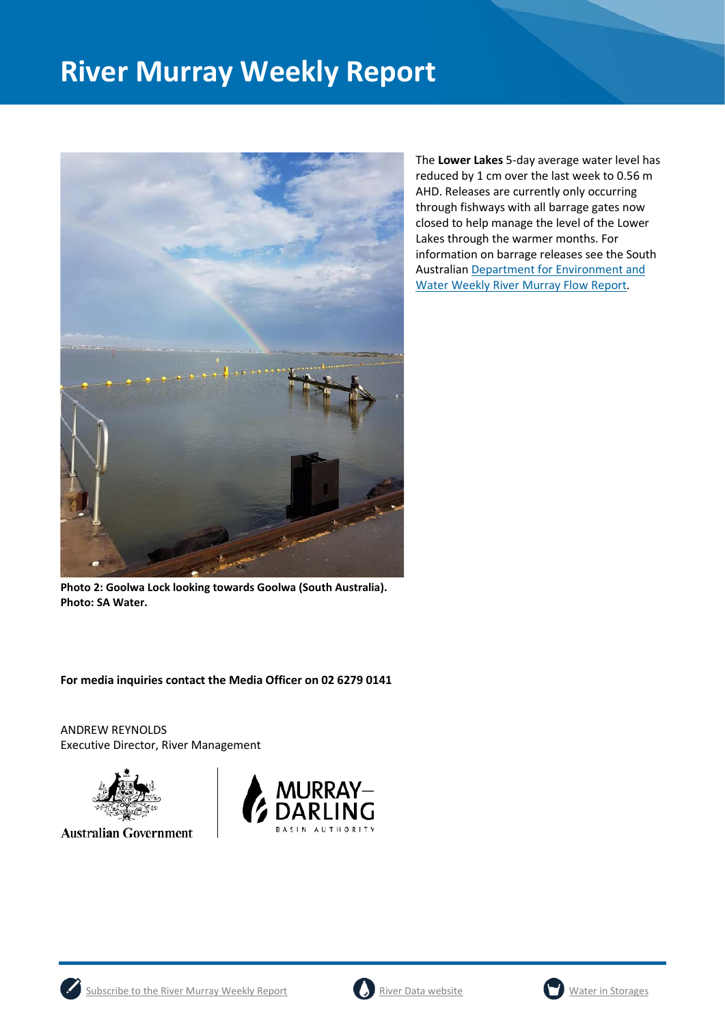

The **Lower Lakes** 5-day average water level has reduced by 1 cm over the last week to 0.56 m AHD. Releases are currently only occurring through fishways with all barrage gates now closed to help manage the level of the Lower Lakes through the warmer months. For information on barrage releases see the South Australian [Department for Environment and](https://www.waterconnect.sa.gov.au/River-Murray/SitePages/River%20Murray%20Flow%20Reports.aspx)  [Water Weekly River Murray Flow Report.](https://www.waterconnect.sa.gov.au/River-Murray/SitePages/River%20Murray%20Flow%20Reports.aspx)

**Photo 2: Goolwa Lock looking towards Goolwa (South Australia). Photo: SA Water.**

**For media inquiries contact the Media Officer on 02 6279 0141**

ANDREW REYNOLDS Executive Director, River Management



**Australian Government** 







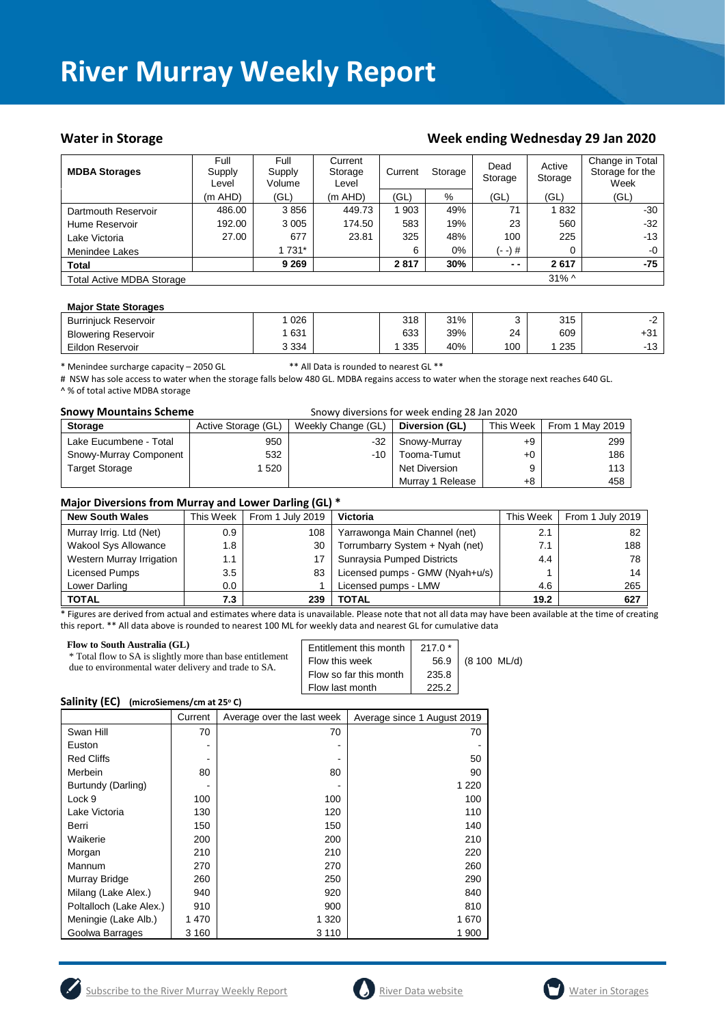#### Water in Storage **Week ending Wednesday 29 Jan 2020**

| <b>MDBA Storages</b>             | Full<br>Supply<br>Level | Full<br>Supply<br>Volume | Current<br>Storage<br>Level | Current<br>Storage |       | Dead<br>Storage | Active<br>Storage | Change in Total<br>Storage for the<br>Week |
|----------------------------------|-------------------------|--------------------------|-----------------------------|--------------------|-------|-----------------|-------------------|--------------------------------------------|
|                                  | $(m$ AHD $)$            | (GL)                     | $(m$ AHD)                   | (GL)               | $\%$  | (GL)            | (GL)              | (GL)                                       |
| Dartmouth Reservoir              | 486.00                  | 3856                     | 449.73                      | 903                | 49%   | 71              | 1832              | $-30$                                      |
| Hume Reservoir                   | 192.00                  | 3 0 0 5                  | 174.50                      | 583                | 19%   | 23              | 560               | $-32$                                      |
| Lake Victoria                    | 27.00                   | 677                      | 23.81                       | 325                | 48%   | 100             | 225               | $-13$                                      |
| Menindee Lakes                   |                         | 1 731*                   |                             | 6                  | $0\%$ | (- -) #         | 0                 | $-0$                                       |
| <b>Total</b>                     |                         | 9 2 6 9                  |                             | 2817               | 30%   | $ -$            | 2617              | -75                                        |
| <b>Total Active MDBA Storage</b> |                         |                          |                             |                    |       |                 | $31\%$ ^          |                                            |

#### **Major State Storages**

| <b>Burriniuck Reservoir</b> | 026     | 318 | 31% |     | 315 |                    |
|-----------------------------|---------|-----|-----|-----|-----|--------------------|
| <b>Blowering Reservoir</b>  | 631     | 633 | 39% | 24  | 609 | $+31$              |
| Eildon Reservoir            | 3 3 3 4 | 335 | 40% | 100 | 235 | $\sqrt{2}$<br>- 15 |

\* Menindee surcharge capacity – 2050 GL \*\* All Data is rounded to nearest GL \*\*

# NSW has sole access to water when the storage falls below 480 GL. MDBA regains access to water when the storage next reaches 640 GL. ^ % of total active MDBA storage

| <b>Snowy Mountains Scheme</b><br>Snowy diversions for week ending 28 Jan 2020 |                     |                    |                  |           |                 |
|-------------------------------------------------------------------------------|---------------------|--------------------|------------------|-----------|-----------------|
| <b>Storage</b>                                                                | Active Storage (GL) | Weekly Change (GL) | Diversion (GL)   | This Week | From 1 May 2019 |
| Lake Eucumbene - Total                                                        | 950                 | -32                | Snowy-Murray     | +9        | 299             |
| Snowy-Murray Component                                                        | 532                 | -10                | Tooma-Tumut      | $+0$      | 186             |
| <b>Target Storage</b>                                                         | 520                 |                    | Net Diversion    |           | 113             |
|                                                                               |                     |                    | Murray 1 Release | +8        | 458             |

#### **Major Diversions from Murray and Lower Darling (GL) \***

| <b>New South Wales</b>      | This Week        | . .<br>From 1 July 2019 | <b>Victoria</b>                 | This Week | From 1 July 2019 |
|-----------------------------|------------------|-------------------------|---------------------------------|-----------|------------------|
| Murray Irrig. Ltd (Net)     | 0.9 <sup>°</sup> | 108                     | Yarrawonga Main Channel (net)   | 2.1       | 82               |
| <b>Wakool Sys Allowance</b> | 1.8              | 30                      | Torrumbarry System + Nyah (net) | 7.1       | 188              |
| Western Murray Irrigation   | 1.1              |                         | Sunraysia Pumped Districts      | 4.4       | 78               |
| Licensed Pumps              | $3.5^{\circ}$    | 83                      | Licensed pumps - GMW (Nyah+u/s) |           | 14               |
| Lower Darling               | 0.0              |                         | Licensed pumps - LMW            | 4.6       | 265              |
| <b>TOTAL</b>                | 7.3              | 239                     | TOTAL                           | 19.2      | 627              |

\* Figures are derived from actual and estimates where data is unavailable. Please note that not all data may have been available at the time of creating this report. \*\* All data above is rounded to nearest 100 ML for weekly data and nearest GL for cumulative data

| <b>Flow to South Australia (GL)</b><br>* Total flow to SA is slightly more than base entitlement<br>due to environmental water delivery and trade to SA. | Entitlement this month<br>Flow this week<br>Flow so far this month<br>Flow last month | $217.0*$<br>56.9<br>235.8<br>225.2 | (8 100 ML/d) |
|----------------------------------------------------------------------------------------------------------------------------------------------------------|---------------------------------------------------------------------------------------|------------------------------------|--------------|
|----------------------------------------------------------------------------------------------------------------------------------------------------------|---------------------------------------------------------------------------------------|------------------------------------|--------------|

#### **Salinity (EC)** (microSiemens/cm at 25°C)

|                         | Current | Average over the last week | Average since 1 August 2019 |
|-------------------------|---------|----------------------------|-----------------------------|
| Swan Hill               | 70      | 70                         | 70                          |
| Euston                  |         |                            |                             |
| <b>Red Cliffs</b>       |         |                            | 50                          |
| Merbein                 | 80      | 80                         | 90                          |
| Burtundy (Darling)      |         |                            | 1 2 2 0                     |
| Lock 9                  | 100     | 100                        | 100                         |
| Lake Victoria           | 130     | 120                        | 110                         |
| Berri                   | 150     | 150                        | 140                         |
| Waikerie                | 200     | 200                        | 210                         |
| Morgan                  | 210     | 210                        | 220                         |
| Mannum                  | 270     | 270                        | 260                         |
| Murray Bridge           | 260     | 250                        | 290                         |
| Milang (Lake Alex.)     | 940     | 920                        | 840                         |
| Poltalloch (Lake Alex.) | 910     | 900                        | 810                         |
| Meningie (Lake Alb.)    | 1 470   | 1 3 2 0                    | 1670                        |
| Goolwa Barrages         | 3 160   | 3 1 1 0                    | 1900                        |





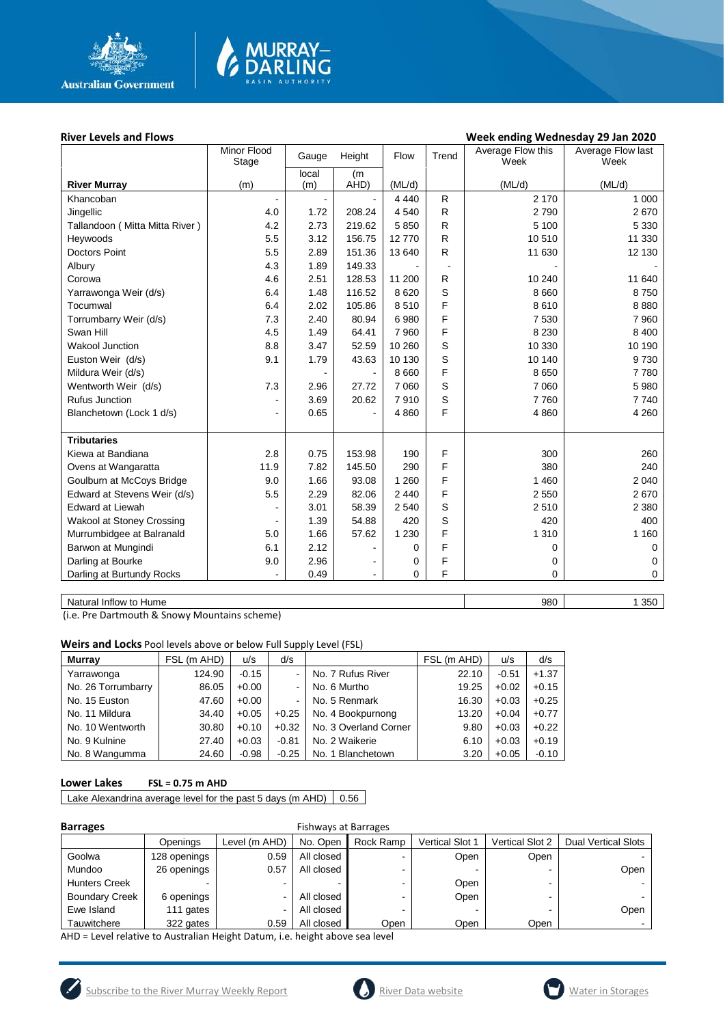

# MURRAY<mark>–</mark><br>DARLING

#### River Levels and Flows **River Levels and Flows Week ending Wednesday 29 Jan 2020**

|                                | Minor Flood<br>Stage | Height<br>Gauge |                | Flow    | Trend        | Average Flow this<br>Week | Average Flow last<br>Week |
|--------------------------------|----------------------|-----------------|----------------|---------|--------------|---------------------------|---------------------------|
|                                |                      | local           | (m             |         |              |                           |                           |
| <b>River Murray</b>            | (m)                  | (m)             | AHD)           | (ML/d)  |              | (ML/d)                    | (ML/d)                    |
| Khancoban                      |                      |                 |                | 4 4 4 0 | R            | 2 1 7 0                   | 1 0 0 0                   |
| Jingellic                      | 4.0                  | 1.72            | 208.24         | 4 5 4 0 | $\mathsf{R}$ | 2790                      | 2670                      |
| Tallandoon (Mitta Mitta River) | 4.2                  | 2.73            | 219.62         | 5850    | $\mathsf{R}$ | 5 100                     | 5 3 3 0                   |
| Heywoods                       | 5.5                  | 3.12            | 156.75         | 12770   | R            | 10510                     | 11 330                    |
| <b>Doctors Point</b>           | 5.5                  | 2.89            | 151.36         | 13 640  | $\mathsf{R}$ | 11 630                    | 12 130                    |
| Albury                         | 4.3                  | 1.89            | 149.33         |         |              |                           |                           |
| Corowa                         | 4.6                  | 2.51            | 128.53         | 11 200  | $\mathsf{R}$ | 10 240                    | 11 640                    |
| Yarrawonga Weir (d/s)          | 6.4                  | 1.48            | 116.52         | 8 6 20  | S            | 8 6 6 0                   | 8750                      |
| Tocumwal                       | 6.4                  | 2.02            | 105.86         | 8510    | F            | 8610                      | 8880                      |
| Torrumbarry Weir (d/s)         | 7.3                  | 2.40            | 80.94          | 6980    | F            | 7530                      | 7 9 6 0                   |
| Swan Hill                      | 4.5                  | 1.49            | 64.41          | 7 9 6 0 | F            | 8 2 3 0                   | 8 4 0 0                   |
| <b>Wakool Junction</b>         | 8.8                  | 3.47            | 52.59          | 10 260  | S            | 10 330                    | 10 190                    |
| Euston Weir (d/s)              | 9.1                  | 1.79            | 43.63          | 10 130  | S            | 10 140                    | 9730                      |
| Mildura Weir (d/s)             |                      | $\blacksquare$  |                | 8 6 6 0 | F            | 8650                      | 7780                      |
| Wentworth Weir (d/s)           | 7.3                  | 2.96            | 27.72          | 7 0 6 0 | S            | 7 0 6 0                   | 5 9 8 0                   |
| <b>Rufus Junction</b>          |                      | 3.69            | 20.62          | 7910    | S            | 7760                      | 7740                      |
| Blanchetown (Lock 1 d/s)       | ۰                    | 0.65            | $\blacksquare$ | 4 8 6 0 | F            | 4 8 6 0                   | 4 2 6 0                   |
|                                |                      |                 |                |         |              |                           |                           |
| <b>Tributaries</b>             |                      |                 |                |         |              |                           |                           |
| Kiewa at Bandiana              | 2.8                  | 0.75            | 153.98         | 190     | F            | 300                       | 260                       |
| Ovens at Wangaratta            | 11.9                 | 7.82            | 145.50         | 290     | F            | 380                       | 240                       |
| Goulburn at McCoys Bridge      | 9.0                  | 1.66            | 93.08          | 1 2 6 0 | F            | 1 4 6 0                   | 2 0 4 0                   |
| Edward at Stevens Weir (d/s)   | 5.5                  | 2.29            | 82.06          | 2 4 4 0 | F            | 2 5 5 0                   | 2670                      |
| <b>Edward at Liewah</b>        |                      | 3.01            | 58.39          | 2 5 4 0 | S            | 2510                      | 2 3 8 0                   |
| Wakool at Stoney Crossing      |                      | 1.39            | 54.88          | 420     | S            | 420                       | 400                       |
| Murrumbidgee at Balranald      | 5.0                  | 1.66            | 57.62          | 1 2 3 0 | F            | 1 3 1 0                   | 1 1 6 0                   |
| Barwon at Mungindi             | 6.1                  | 2.12            |                | 0       | F            | 0                         | $\mathbf 0$               |
| Darling at Bourke              | 9.0                  | 2.96            |                | 0       | F            | 0                         | 0                         |
| Darling at Burtundy Rocks      |                      | 0.49            |                | 0       | F            | $\Omega$                  | 0                         |
|                                |                      |                 |                |         |              |                           |                           |

Natural Inflow to Hume 1350

(i.e. Pre Dartmouth & Snowy Mountains scheme)

**Weirs and Locks** Pool levels above or below Full Supply Level (FSL)

| <b>Murray</b>      | FSL (m AHD) | u/s     | d/s     |                       | FSL (m AHD) | u/s     | d/s     |
|--------------------|-------------|---------|---------|-----------------------|-------------|---------|---------|
| Yarrawonga         | 124.90      | $-0.15$ |         | No. 7 Rufus River     | 22.10       | $-0.51$ | $+1.37$ |
| No. 26 Torrumbarry | 86.05       | $+0.00$ |         | No. 6 Murtho          | 19.25       | $+0.02$ | $+0.15$ |
| No. 15 Euston      | 47.60       | $+0.00$ |         | No. 5 Renmark         | 16.30       | $+0.03$ | $+0.25$ |
| No. 11 Mildura     | 34.40       | $+0.05$ | $+0.25$ | No. 4 Bookpurnong     | 13.20       | $+0.04$ | $+0.77$ |
| No. 10 Wentworth   | 30.80       | $+0.10$ | $+0.32$ | No. 3 Overland Corner | 9.80        | $+0.03$ | $+0.22$ |
| No. 9 Kulnine      | 27.40       | $+0.03$ | $-0.81$ | No. 2 Waikerie        | 6.10        | $+0.03$ | $+0.19$ |
| No. 8 Wangumma     | 24.60       | $-0.98$ | $-0.25$ | No. 1 Blanchetown     | 3.20        | $+0.05$ | $-0.10$ |

#### **Lower Lakes FSL = 0.75 m AHD**

Lake Alexandrina average level for the past 5 days (m AHD)  $\Big| 0.56 \Big|$ 

| Barrage |
|---------|
|---------|

#### **Barrages** Fishways at Barrages

|                       | Openings     | Level (m AHD) | No. Open   | Rock Ramp | Vertical Slot 1          | <b>Vertical Slot 2</b> | <b>Dual Vertical Slots</b> |
|-----------------------|--------------|---------------|------------|-----------|--------------------------|------------------------|----------------------------|
| Goolwa                | 128 openings | 0.59          | All closed |           | Open                     | Open                   |                            |
| Mundoo                | 26 openings  | 0.57          | All closed |           | $\overline{\phantom{0}}$ |                        | Open                       |
| <b>Hunters Creek</b>  |              | -             |            |           | Open                     | -                      |                            |
| <b>Boundary Creek</b> | 6 openings   | -             | All closed |           | Open                     |                        |                            |
| Ewe Island            | 111 gates    | ۰             | All closed |           |                          |                        | Open                       |
| Tauwitchere           | 322 gates    | 0.59          | All closed | Open      | Open                     | Open                   |                            |

AHD = Level relative to Australian Height Datum, i.e. height above sea level